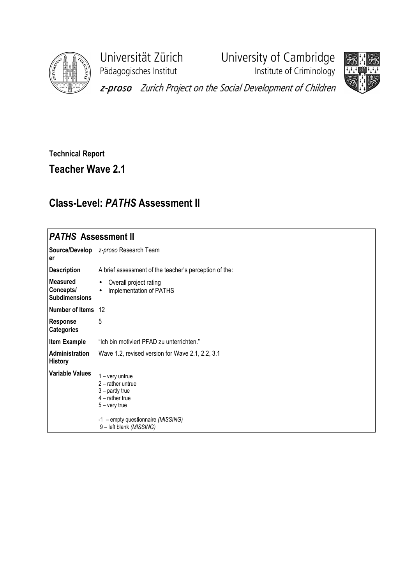

Pädagogisches Institut **Institute of Criminology** 

Universität Zürich University of Cambridge



z-proso Zurich Project on the Social Development of Children

## Technical Report

Teacher Wave 2.1

## Class-Level: PATHS Assessment II

## **PATHS Assessment II**

| er                                            | Source/Develop z-proso Research Team                                                                                                        |
|-----------------------------------------------|---------------------------------------------------------------------------------------------------------------------------------------------|
| <b>Description</b>                            | A brief assessment of the teacher's perception of the:                                                                                      |
| Measured<br>Concepts/<br><b>Subdimensions</b> | Overall project rating<br>Implementation of PATHS                                                                                           |
| Number of Items 12                            |                                                                                                                                             |
| <b>Response</b><br><b>Categories</b>          | 5                                                                                                                                           |
| Item Example                                  | "Ich bin motiviert PFAD zu unterrichten."                                                                                                   |
| <b>Administration</b><br>History              | Wave 1.2, revised version for Wave 2.1, 2.2, 3.1                                                                                            |
| <b>Variable Values</b>                        | $1 - \text{very}$<br>$2$ – rather untrue<br>$3$ – partly true<br>$4$ – rather true<br>$5 -$ very true<br>-1 – empty questionnaire (MISSING) |
|                                               | 9 - left blank (MISSING)                                                                                                                    |